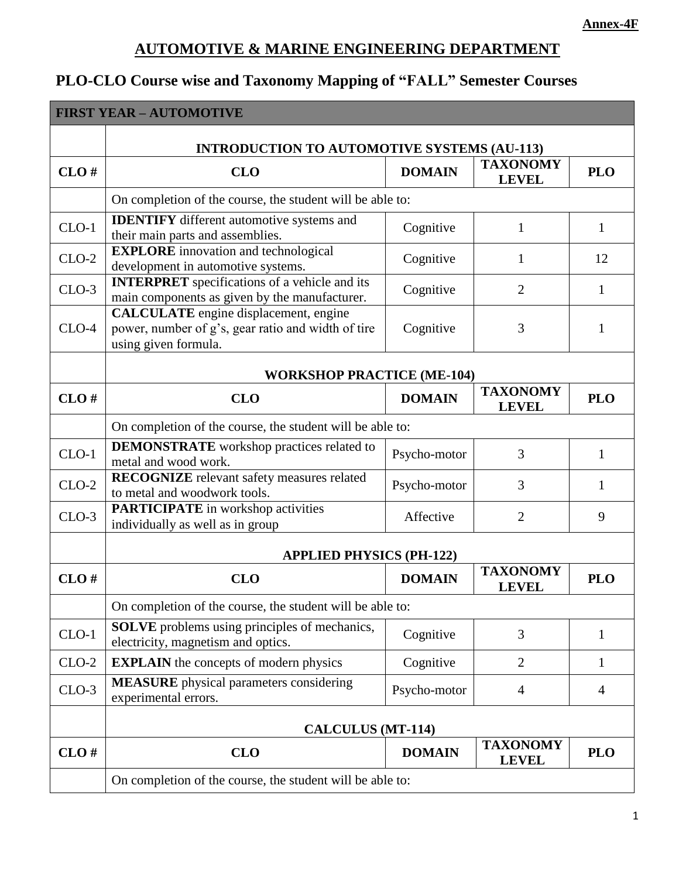## **AUTOMOTIVE & MARINE ENGINEERING DEPARTMENT**

# **PLO-CLO Course wise and Taxonomy Mapping of "FALL" Semester Courses**

| <b>FIRST YEAR - AUTOMOTIVE</b> |                                                                                                                            |               |                                 |                |
|--------------------------------|----------------------------------------------------------------------------------------------------------------------------|---------------|---------------------------------|----------------|
|                                | <b>INTRODUCTION TO AUTOMOTIVE SYSTEMS (AU-113)</b>                                                                         |               |                                 |                |
| CLO#                           | <b>CLO</b>                                                                                                                 | <b>DOMAIN</b> | <b>TAXONOMY</b><br><b>LEVEL</b> | <b>PLO</b>     |
|                                | On completion of the course, the student will be able to:                                                                  |               |                                 |                |
| $CLO-1$                        | <b>IDENTIFY</b> different automotive systems and<br>their main parts and assemblies.                                       | Cognitive     | 1                               | 1              |
| $CLO-2$                        | <b>EXPLORE</b> innovation and technological<br>development in automotive systems.                                          | Cognitive     | $\mathbf{1}$                    | 12             |
| $CLO-3$                        | <b>INTERPRET</b> specifications of a vehicle and its<br>main components as given by the manufacturer.                      | Cognitive     | $\overline{2}$                  | 1              |
| $CLO-4$                        | <b>CALCULATE</b> engine displacement, engine<br>power, number of g's, gear ratio and width of tire<br>using given formula. | Cognitive     | 3                               | 1              |
|                                | <b>WORKSHOP PRACTICE (ME-104)</b>                                                                                          |               |                                 |                |
| CLO#                           | <b>CLO</b>                                                                                                                 | <b>DOMAIN</b> | <b>TAXONOMY</b><br><b>LEVEL</b> | <b>PLO</b>     |
|                                | On completion of the course, the student will be able to:                                                                  |               |                                 |                |
| $CLO-1$                        | <b>DEMONSTRATE</b> workshop practices related to<br>metal and wood work.                                                   | Psycho-motor  | 3                               | 1              |
| $CLO-2$                        | RECOGNIZE relevant safety measures related<br>to metal and woodwork tools.                                                 | Psycho-motor  | 3                               | 1              |
| $CLO-3$                        | <b>PARTICIPATE</b> in workshop activities<br>individually as well as in group                                              | Affective     | $\overline{2}$                  | 9              |
|                                | <b>APPLIED PHYSICS (PH-122)</b>                                                                                            |               |                                 |                |
| CLO#                           | <b>CLO</b>                                                                                                                 | <b>DOMAIN</b> | <b>TAXONOMY</b><br><b>LEVEL</b> | <b>PLO</b>     |
|                                | On completion of the course, the student will be able to:                                                                  |               |                                 |                |
| $CLO-1$                        | <b>SOLVE</b> problems using principles of mechanics,<br>electricity, magnetism and optics.                                 | Cognitive     | 3                               | 1              |
| $CLO-2$                        | <b>EXPLAIN</b> the concepts of modern physics                                                                              | Cognitive     | $\overline{2}$                  | 1              |
| $CLO-3$                        | <b>MEASURE</b> physical parameters considering<br>experimental errors.                                                     | Psycho-motor  | $\overline{4}$                  | $\overline{4}$ |
|                                | <b>CALCULUS (MT-114)</b>                                                                                                   |               |                                 |                |
| CLO#                           | <b>CLO</b>                                                                                                                 | <b>DOMAIN</b> | <b>TAXONOMY</b><br><b>LEVEL</b> | <b>PLO</b>     |
|                                | On completion of the course, the student will be able to:                                                                  |               |                                 |                |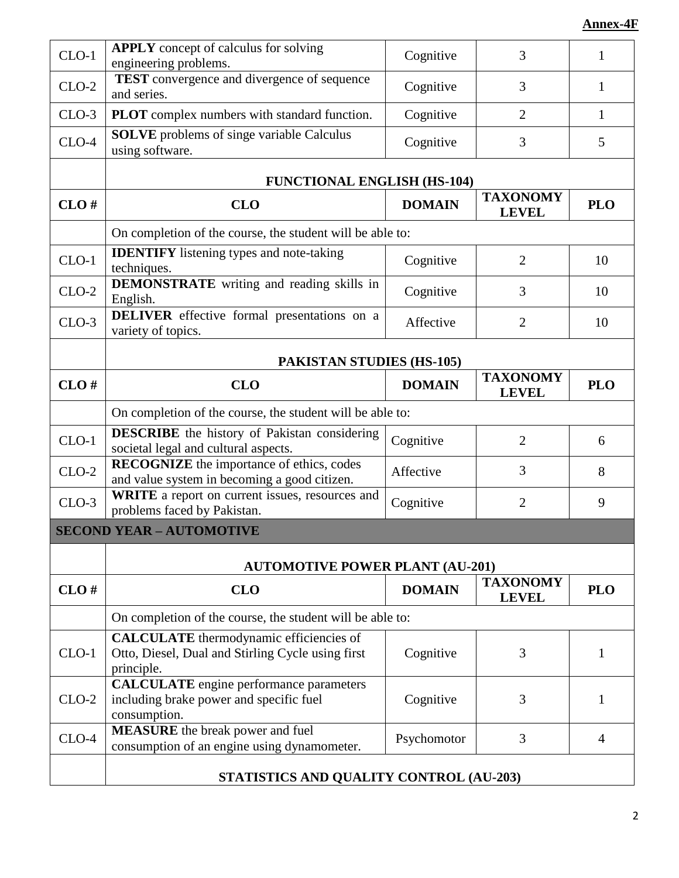| $CLO-1$ | <b>APPLY</b> concept of calculus for solving<br>engineering problems.                                             | Cognitive     | 3                               | 1              |  |
|---------|-------------------------------------------------------------------------------------------------------------------|---------------|---------------------------------|----------------|--|
| $CLO-2$ | <b>TEST</b> convergence and divergence of sequence<br>and series.                                                 | Cognitive     | 3                               | 1              |  |
| $CLO-3$ | <b>PLOT</b> complex numbers with standard function.                                                               | Cognitive     | 2                               | $\mathbf{1}$   |  |
| $CLO-4$ | <b>SOLVE</b> problems of singe variable Calculus<br>using software.                                               | Cognitive     | 3                               | 5              |  |
|         | <b>FUNCTIONAL ENGLISH (HS-104)</b>                                                                                |               |                                 |                |  |
| CLO#    | <b>CLO</b>                                                                                                        | <b>DOMAIN</b> | <b>TAXONOMY</b><br><b>LEVEL</b> | <b>PLO</b>     |  |
|         | On completion of the course, the student will be able to:                                                         |               |                                 |                |  |
| $CLO-1$ | <b>IDENTIFY</b> listening types and note-taking<br>techniques.                                                    | Cognitive     | $\overline{2}$                  | 10             |  |
| $CLO-2$ | <b>DEMONSTRATE</b> writing and reading skills in<br>English.                                                      | Cognitive     | 3                               | 10             |  |
| $CLO-3$ | <b>DELIVER</b> effective formal presentations on a<br>variety of topics.                                          | Affective     | $\overline{2}$                  | 10             |  |
|         | <b>PAKISTAN STUDIES (HS-105)</b>                                                                                  |               |                                 |                |  |
| CLO#    | <b>CLO</b>                                                                                                        | <b>DOMAIN</b> | <b>TAXONOMY</b><br><b>LEVEL</b> | <b>PLO</b>     |  |
|         | On completion of the course, the student will be able to:                                                         |               |                                 |                |  |
| $CLO-1$ | <b>DESCRIBE</b> the history of Pakistan considering<br>societal legal and cultural aspects.                       | Cognitive     | $\overline{2}$                  | 6              |  |
| $CLO-2$ | <b>RECOGNIZE</b> the importance of ethics, codes<br>and value system in becoming a good citizen.                  | Affective     | 3                               | 8              |  |
| $CLO-3$ | WRITE a report on current issues, resources and<br>problems faced by Pakistan.                                    | Cognitive     | $\overline{2}$                  | 9              |  |
|         | <b>SECOND YEAR - AUTOMOTIVE</b>                                                                                   |               |                                 |                |  |
|         | <b>AUTOMOTIVE POWER PLANT (AU-201)</b>                                                                            |               |                                 |                |  |
| CLO#    | <b>CLO</b>                                                                                                        | <b>DOMAIN</b> | <b>TAXONOMY</b><br><b>LEVEL</b> | <b>PLO</b>     |  |
|         | On completion of the course, the student will be able to:                                                         |               |                                 |                |  |
| $CLO-1$ | <b>CALCULATE</b> thermodynamic efficiencies of<br>Otto, Diesel, Dual and Stirling Cycle using first<br>principle. | Cognitive     | 3                               | 1              |  |
| $CLO-2$ | <b>CALCULATE</b> engine performance parameters<br>including brake power and specific fuel<br>consumption.         | Cognitive     | 3                               | 1              |  |
| $CLO-4$ | <b>MEASURE</b> the break power and fuel<br>consumption of an engine using dynamometer.                            | Psychomotor   | 3                               | $\overline{4}$ |  |
|         | STATISTICS AND QUALITY CONTROL (AU-203)                                                                           |               |                                 |                |  |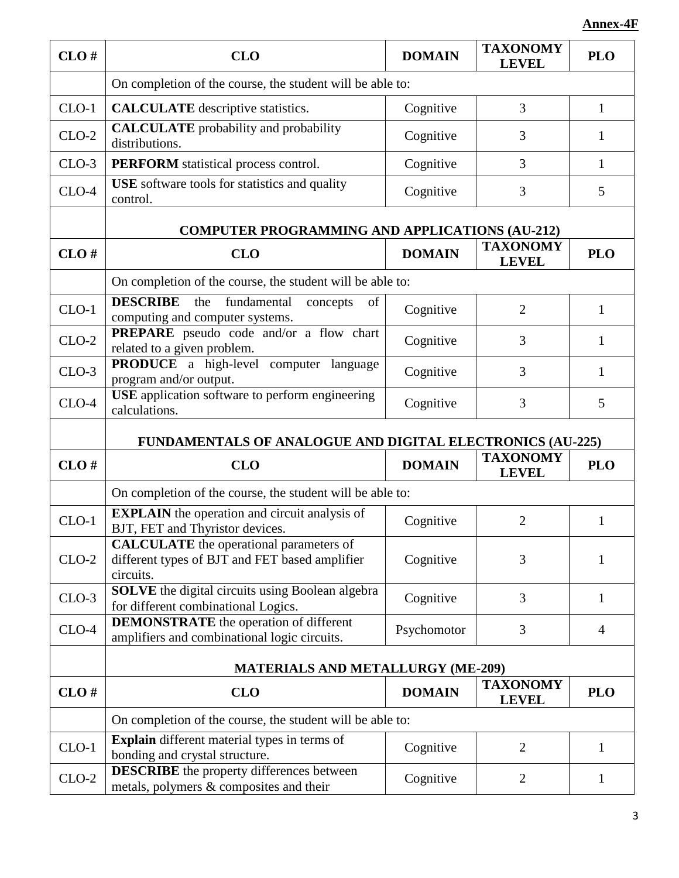| CLO#    | <b>CLO</b>                                                                                                    | <b>DOMAIN</b> | <b>TAXONOMY</b><br><b>LEVEL</b> | <b>PLO</b>   |  |
|---------|---------------------------------------------------------------------------------------------------------------|---------------|---------------------------------|--------------|--|
|         | On completion of the course, the student will be able to:                                                     |               |                                 |              |  |
| $CLO-1$ | <b>CALCULATE</b> descriptive statistics.                                                                      | Cognitive     | 3                               | $\mathbf{1}$ |  |
| $CLO-2$ | <b>CALCULATE</b> probability and probability<br>distributions.                                                | Cognitive     | 3                               | 1            |  |
| $CLO-3$ | <b>PERFORM</b> statistical process control.                                                                   | Cognitive     | 3                               | $\mathbf{1}$ |  |
| $CLO-4$ | USE software tools for statistics and quality<br>control.                                                     | Cognitive     | 3                               | 5            |  |
|         | <b>COMPUTER PROGRAMMING AND APPLICATIONS (AU-212)</b>                                                         |               |                                 |              |  |
| CLO#    | <b>CLO</b>                                                                                                    | <b>DOMAIN</b> | <b>TAXONOMY</b><br><b>LEVEL</b> | <b>PLO</b>   |  |
|         | On completion of the course, the student will be able to:                                                     |               |                                 |              |  |
| $CLO-1$ | <b>DESCRIBE</b><br>the<br>fundamental<br>concepts<br>of<br>computing and computer systems.                    | Cognitive     | $\overline{2}$                  | 1            |  |
| $CLO-2$ | PREPARE pseudo code and/or a flow chart<br>related to a given problem.                                        | Cognitive     | 3                               | 1            |  |
| $CLO-3$ | <b>PRODUCE</b> a high-level computer language<br>program and/or output.                                       | Cognitive     | 3                               | 1            |  |
| $CLO-4$ | <b>USE</b> application software to perform engineering<br>calculations.                                       | Cognitive     | 3                               | 5            |  |
|         | FUNDAMENTALS OF ANALOGUE AND DIGITAL ELECTRONICS (AU-225)                                                     |               |                                 |              |  |
| CLO#    | <b>CLO</b>                                                                                                    | <b>DOMAIN</b> | <b>TAXONOMY</b><br><b>LEVEL</b> | <b>PLO</b>   |  |
|         | On completion of the course, the student will be able to:                                                     |               |                                 |              |  |
| $CLO-1$ | <b>EXPLAIN</b> the operation and circuit analysis of<br>BJT, FET and Thyristor devices.                       | Cognitive     | $\overline{2}$                  | 1            |  |
| $CLO-2$ | <b>CALCULATE</b> the operational parameters of<br>different types of BJT and FET based amplifier<br>circuits. | Cognitive     | 3                               | 1            |  |
| $CLO-3$ | SOLVE the digital circuits using Boolean algebra<br>for different combinational Logics.                       | Cognitive     | 3                               | 1            |  |
| $CLO-4$ | <b>DEMONSTRATE</b> the operation of different<br>amplifiers and combinational logic circuits.                 | Psychomotor   | 3                               | 4            |  |
|         | <b>MATERIALS AND METALLURGY (ME-209)</b>                                                                      |               |                                 |              |  |
| CLO#    | <b>CLO</b>                                                                                                    | <b>DOMAIN</b> | <b>TAXONOMY</b><br><b>LEVEL</b> | <b>PLO</b>   |  |
|         | On completion of the course, the student will be able to:                                                     |               |                                 |              |  |
| $CLO-1$ | Explain different material types in terms of<br>bonding and crystal structure.                                | Cognitive     | $\overline{2}$                  | 1            |  |
| $CLO-2$ | <b>DESCRIBE</b> the property differences between<br>metals, polymers & composites and their                   | Cognitive     | $\overline{2}$                  | 1            |  |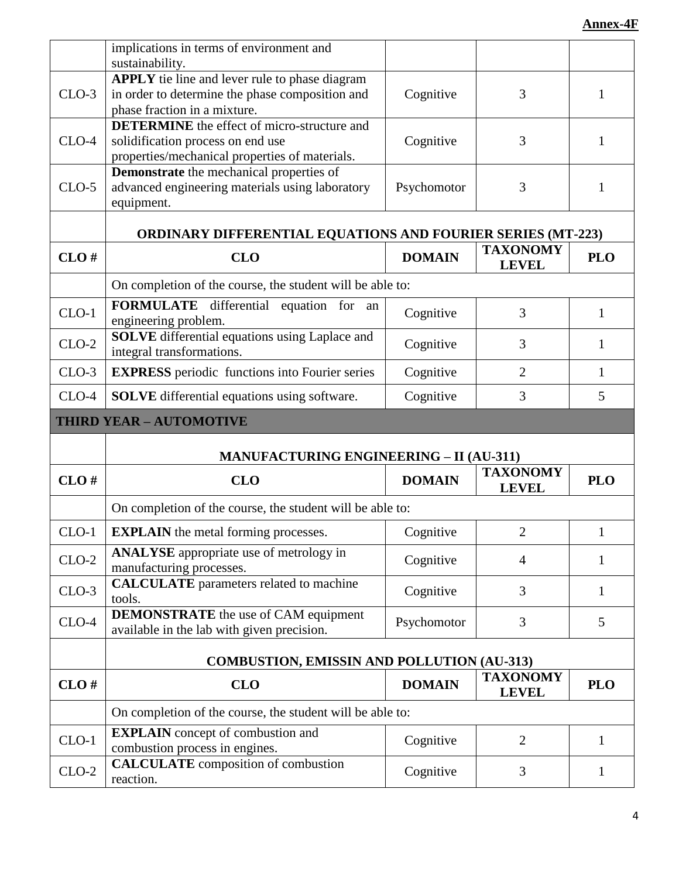|                                | implications in terms of environment and                                                                                                  |               |                                 |              |
|--------------------------------|-------------------------------------------------------------------------------------------------------------------------------------------|---------------|---------------------------------|--------------|
|                                | sustainability.                                                                                                                           |               |                                 |              |
| $CLO-3$                        | <b>APPLY</b> tie line and lever rule to phase diagram<br>in order to determine the phase composition and<br>phase fraction in a mixture.  | Cognitive     | 3                               | 1            |
| $CLO-4$                        | <b>DETERMINE</b> the effect of micro-structure and<br>solidification process on end use<br>properties/mechanical properties of materials. | Cognitive     | 3                               | 1            |
| $CLO-5$                        | <b>Demonstrate</b> the mechanical properties of<br>advanced engineering materials using laboratory<br>equipment.                          | Psychomotor   | 3                               | $\mathbf{1}$ |
|                                | <b>ORDINARY DIFFERENTIAL EQUATIONS AND FOURIER SERIES (MT-223)</b>                                                                        |               |                                 |              |
| CLO#                           | <b>CLO</b>                                                                                                                                | <b>DOMAIN</b> | <b>TAXONOMY</b><br><b>LEVEL</b> | <b>PLO</b>   |
|                                | On completion of the course, the student will be able to:                                                                                 |               |                                 |              |
| $CLO-1$                        | FORMULATE differential equation for an<br>engineering problem.                                                                            | Cognitive     | 3                               | $\mathbf{1}$ |
| $CLO-2$                        | <b>SOLVE</b> differential equations using Laplace and<br>integral transformations.                                                        | Cognitive     | 3                               | 1            |
| $CLO-3$                        | <b>EXPRESS</b> periodic functions into Fourier series                                                                                     | Cognitive     | $\overline{2}$                  | $\mathbf{1}$ |
| $CLO-4$                        | <b>SOLVE</b> differential equations using software.                                                                                       | Cognitive     | 3                               | 5            |
| <b>THIRD YEAR - AUTOMOTIVE</b> |                                                                                                                                           |               |                                 |              |
|                                |                                                                                                                                           |               |                                 |              |
|                                | <b>MANUFACTURING ENGINEERING - II (AU-311)</b>                                                                                            |               |                                 |              |
| CLO#                           | <b>CLO</b>                                                                                                                                | <b>DOMAIN</b> | <b>TAXONOMY</b><br><b>LEVEL</b> | <b>PLO</b>   |
|                                | On completion of the course, the student will be able to:                                                                                 |               |                                 |              |
| $CLO-1$                        | <b>EXPLAIN</b> the metal forming processes.                                                                                               | Cognitive     | 2                               |              |
| $CLO-2$                        | <b>ANALYSE</b> appropriate use of metrology in<br>manufacturing processes.                                                                | Cognitive     | $\overline{4}$                  | 1            |
| $CLO-3$                        | <b>CALCULATE</b> parameters related to machine<br>tools.                                                                                  | Cognitive     | 3                               | $\mathbf{1}$ |
| $CLO-4$                        | <b>DEMONSTRATE</b> the use of CAM equipment<br>available in the lab with given precision.                                                 | Psychomotor   | 3                               | 5            |
|                                | <b>COMBUSTION, EMISSIN AND POLLUTION (AU-313)</b>                                                                                         |               |                                 |              |
| CLO#                           | <b>CLO</b>                                                                                                                                | <b>DOMAIN</b> | <b>TAXONOMY</b><br><b>LEVEL</b> | <b>PLO</b>   |
|                                | On completion of the course, the student will be able to:                                                                                 |               |                                 |              |
| $CLO-1$                        | <b>EXPLAIN</b> concept of combustion and<br>combustion process in engines.                                                                | Cognitive     | $\overline{2}$                  | 1            |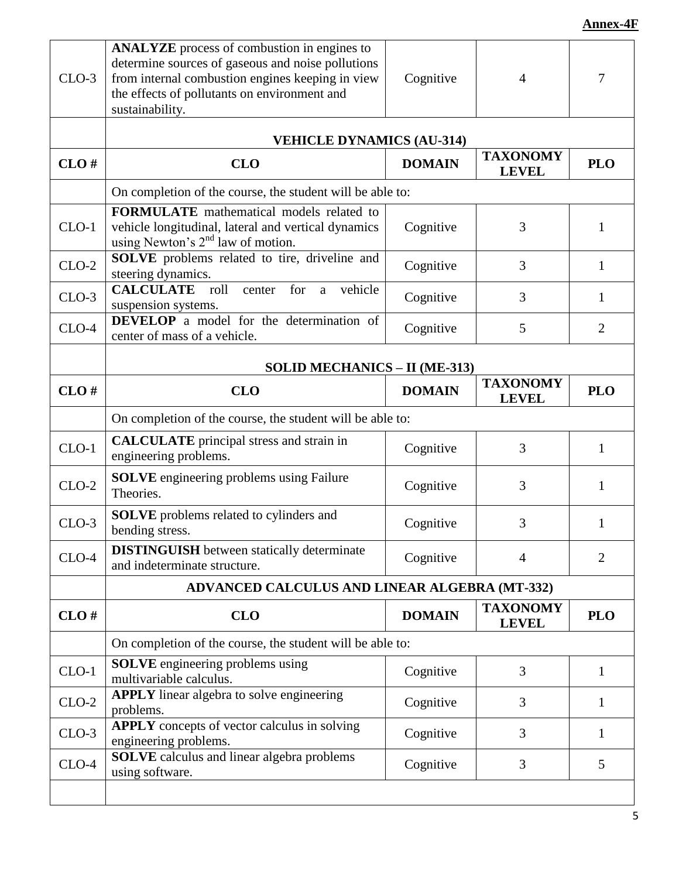| $CLO-3$ | ANALYZE process of combustion in engines to<br>determine sources of gaseous and noise pollutions<br>from internal combustion engines keeping in view<br>the effects of pollutants on environment and<br>sustainability. | Cognitive     | 4                               | $\overline{7}$ |  |
|---------|-------------------------------------------------------------------------------------------------------------------------------------------------------------------------------------------------------------------------|---------------|---------------------------------|----------------|--|
|         | <b>VEHICLE DYNAMICS (AU-314)</b>                                                                                                                                                                                        |               |                                 |                |  |
| CLO#    | <b>CLO</b>                                                                                                                                                                                                              | <b>DOMAIN</b> | <b>TAXONOMY</b><br><b>LEVEL</b> | <b>PLO</b>     |  |
|         | On completion of the course, the student will be able to:                                                                                                                                                               |               |                                 |                |  |
| $CLO-1$ | <b>FORMULATE</b> mathematical models related to<br>vehicle longitudinal, lateral and vertical dynamics<br>using Newton's $2nd$ law of motion.                                                                           | Cognitive     | 3                               | 1              |  |
| $CLO-2$ | SOLVE problems related to tire, driveline and<br>steering dynamics.                                                                                                                                                     | Cognitive     | 3                               | 1              |  |
| $CLO-3$ | <b>CALCULATE</b><br>vehicle<br>for<br>roll<br>center<br>a<br>suspension systems.                                                                                                                                        | Cognitive     | 3                               | 1              |  |
| $CLO-4$ | <b>DEVELOP</b> a model for the determination of<br>center of mass of a vehicle.                                                                                                                                         | Cognitive     | 5                               | $\overline{2}$ |  |
|         | <b>SOLID MECHANICS - II (ME-313)</b>                                                                                                                                                                                    |               |                                 |                |  |
| CLO#    | <b>CLO</b>                                                                                                                                                                                                              | <b>DOMAIN</b> | <b>TAXONOMY</b><br><b>LEVEL</b> | <b>PLO</b>     |  |
|         | On completion of the course, the student will be able to:                                                                                                                                                               |               |                                 |                |  |
| $CLO-1$ | <b>CALCULATE</b> principal stress and strain in<br>engineering problems.                                                                                                                                                | Cognitive     | 3                               | $\mathbf{1}$   |  |
| $CLO-2$ | <b>SOLVE</b> engineering problems using Failure<br>Theories.                                                                                                                                                            | Cognitive     | 3                               | 1              |  |
| $CLO-3$ | <b>SOLVE</b> problems related to cylinders and<br>bending stress.                                                                                                                                                       | Cognitive     | 3                               | 1              |  |
| $CLO-4$ | <b>DISTINGUISH</b> between statically determinate<br>and indeterminate structure.                                                                                                                                       | Cognitive     | $\overline{4}$                  | $\overline{2}$ |  |
|         | ADVANCED CALCULUS AND LINEAR ALGEBRA (MT-332)                                                                                                                                                                           |               |                                 |                |  |
| CLO#    | <b>CLO</b>                                                                                                                                                                                                              | <b>DOMAIN</b> | <b>TAXONOMY</b><br><b>LEVEL</b> | <b>PLO</b>     |  |
|         | On completion of the course, the student will be able to:                                                                                                                                                               |               |                                 |                |  |
| $CLO-1$ | <b>SOLVE</b> engineering problems using<br>multivariable calculus.                                                                                                                                                      | Cognitive     | 3                               | 1              |  |
| $CLO-2$ | APPLY linear algebra to solve engineering<br>problems.                                                                                                                                                                  | Cognitive     | 3                               | 1              |  |
| $CLO-3$ | <b>APPLY</b> concepts of vector calculus in solving<br>engineering problems.                                                                                                                                            | Cognitive     | 3                               | 1              |  |
| $CLO-4$ | <b>SOLVE</b> calculus and linear algebra problems<br>using software.                                                                                                                                                    | Cognitive     | 3                               | 5              |  |
|         |                                                                                                                                                                                                                         |               |                                 |                |  |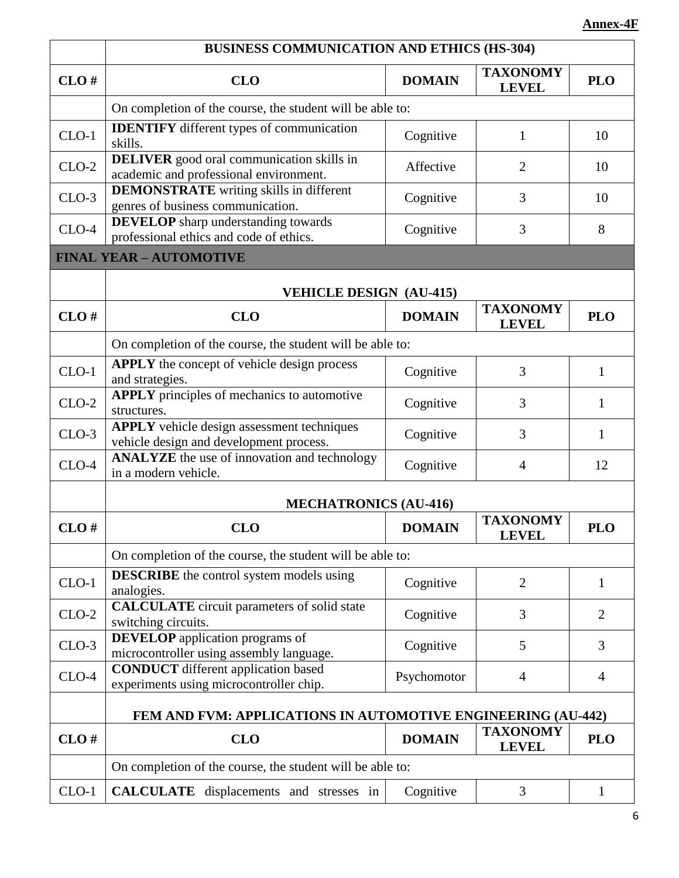|         | <b>BUSINESS COMMUNICATION AND ETHICS (HS-304)</b>                                            |               |                                 |                |  |
|---------|----------------------------------------------------------------------------------------------|---------------|---------------------------------|----------------|--|
| CLO#    | <b>CLO</b>                                                                                   | <b>DOMAIN</b> | <b>TAXONOMY</b><br><b>LEVEL</b> | <b>PLO</b>     |  |
|         | On completion of the course, the student will be able to:                                    |               |                                 |                |  |
| $CLO-1$ | <b>IDENTIFY</b> different types of communication<br>skills.                                  | Cognitive     | $\mathbf{1}$                    | 10             |  |
| $CLO-2$ | <b>DELIVER</b> good oral communication skills in<br>academic and professional environment.   | Affective     | $\overline{2}$                  | 10             |  |
| $CLO-3$ | <b>DEMONSTRATE</b> writing skills in different<br>genres of business communication.          | Cognitive     | 3                               | 10             |  |
| $CLO-4$ | <b>DEVELOP</b> sharp understanding towards<br>professional ethics and code of ethics.        | Cognitive     | 3                               | 8              |  |
|         | <b>FINAL YEAR - AUTOMOTIVE</b>                                                               |               |                                 |                |  |
|         | <b>VEHICLE DESIGN (AU-415)</b>                                                               |               |                                 |                |  |
| CLO#    | <b>CLO</b>                                                                                   | <b>DOMAIN</b> | <b>TAXONOMY</b><br><b>LEVEL</b> | <b>PLO</b>     |  |
|         | On completion of the course, the student will be able to:                                    |               |                                 |                |  |
| $CLO-1$ | APPLY the concept of vehicle design process<br>and strategies.                               | Cognitive     | 3                               | 1              |  |
| $CLO-2$ | <b>APPLY</b> principles of mechanics to automotive<br>structures.                            | Cognitive     | 3                               | 1              |  |
| $CLO-3$ | <b>APPLY</b> vehicle design assessment techniques<br>vehicle design and development process. | Cognitive     | 3                               | $\mathbf{1}$   |  |
| $CLO-4$ | <b>ANALYZE</b> the use of innovation and technology<br>in a modern vehicle.                  | Cognitive     | $\overline{4}$                  | 12             |  |
|         | <b>MECHATRONICS (AU-416)</b>                                                                 |               |                                 |                |  |
| CLO#    | <b>CLO</b>                                                                                   | <b>DOMAIN</b> | <b>TAXONOMY</b><br><b>LEVEL</b> | <b>PLO</b>     |  |
|         | On completion of the course, the student will be able to:                                    |               |                                 |                |  |
| $CLO-1$ | <b>DESCRIBE</b> the control system models using<br>analogies.                                | Cognitive     | $\overline{2}$                  | 1              |  |
| $CLO-2$ | <b>CALCULATE</b> circuit parameters of solid state<br>switching circuits.                    | Cognitive     | 3                               | $\overline{2}$ |  |
| $CLO-3$ | <b>DEVELOP</b> application programs of<br>microcontroller using assembly language.           | Cognitive     | 5                               | 3              |  |
| $CLO-4$ | <b>CONDUCT</b> different application based<br>experiments using microcontroller chip.        | Psychomotor   | $\overline{4}$                  | $\overline{4}$ |  |
|         | FEM AND FVM: APPLICATIONS IN AUTOMOTIVE ENGINEERING (AU-442)                                 |               |                                 |                |  |
| CLO#    | <b>CLO</b>                                                                                   | <b>DOMAIN</b> | <b>TAXONOMY</b><br><b>LEVEL</b> | <b>PLO</b>     |  |
|         | On completion of the course, the student will be able to:                                    |               |                                 |                |  |
| $CLO-1$ | <b>CALCULATE</b> displacements and stresses in                                               | Cognitive     | 3                               | 1              |  |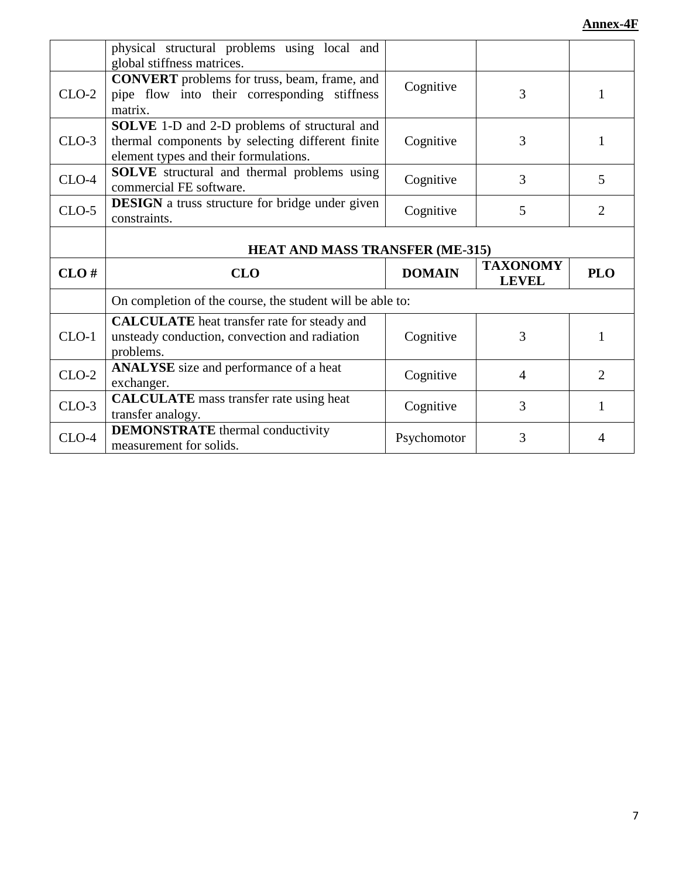|         | physical structural problems using local and<br>global stiffness matrices.                                                                |               |                                 |                |
|---------|-------------------------------------------------------------------------------------------------------------------------------------------|---------------|---------------------------------|----------------|
| $CLO-2$ | <b>CONVERT</b> problems for truss, beam, frame, and<br>pipe flow into their corresponding stiffness<br>matrix.                            | Cognitive     | 3                               | 1              |
| $CLO-3$ | SOLVE 1-D and 2-D problems of structural and<br>thermal components by selecting different finite<br>element types and their formulations. | Cognitive     | 3                               | 1              |
| $CLO-4$ | <b>SOLVE</b> structural and thermal problems using<br>commercial FE software.                                                             | Cognitive     | 3                               | 5              |
| $CLO-5$ | <b>DESIGN</b> a truss structure for bridge under given<br>constraints.                                                                    | Cognitive     | 5                               | 2              |
|         |                                                                                                                                           |               |                                 |                |
|         | <b>HEAT AND MASS TRANSFER (ME-315)</b>                                                                                                    |               |                                 |                |
| CLO#    | <b>CLO</b>                                                                                                                                | <b>DOMAIN</b> | <b>TAXONOMY</b><br><b>LEVEL</b> | <b>PLO</b>     |
|         | On completion of the course, the student will be able to:                                                                                 |               |                                 |                |
| $CLO-1$ | <b>CALCULATE</b> heat transfer rate for steady and<br>unsteady conduction, convection and radiation<br>problems.                          | Cognitive     | 3                               | 1              |
| $CLO-2$ | <b>ANALYSE</b> size and performance of a heat<br>exchanger.                                                                               | Cognitive     | $\overline{4}$                  | $\overline{2}$ |
| $CLO-3$ | <b>CALCULATE</b> mass transfer rate using heat<br>transfer analogy.                                                                       | Cognitive     | 3                               | 1              |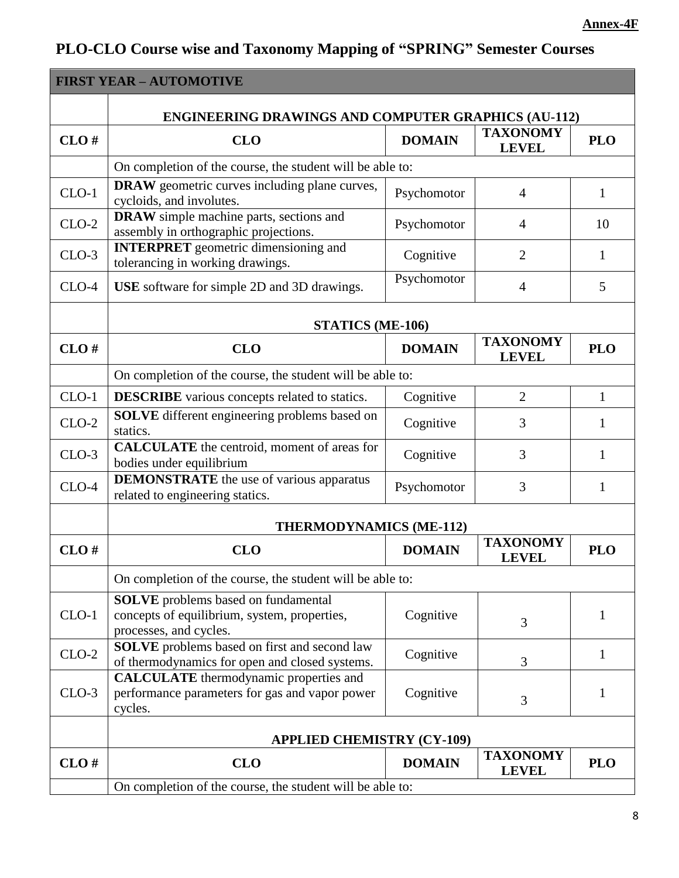# **PLO-CLO Course wise and Taxonomy Mapping of "SPRING" Semester Courses**

|         | <b>FIRST YEAR - AUTOMOTIVE</b>                                                                                       |               |                                 |              |  |
|---------|----------------------------------------------------------------------------------------------------------------------|---------------|---------------------------------|--------------|--|
|         | <b>ENGINEERING DRAWINGS AND COMPUTER GRAPHICS (AU-112)</b>                                                           |               |                                 |              |  |
| CLO#    | <b>CLO</b>                                                                                                           | <b>DOMAIN</b> | <b>TAXONOMY</b><br><b>LEVEL</b> | <b>PLO</b>   |  |
|         | On completion of the course, the student will be able to:                                                            |               |                                 |              |  |
| $CLO-1$ | <b>DRAW</b> geometric curves including plane curves,<br>cycloids, and involutes.                                     | Psychomotor   | $\overline{4}$                  | 1            |  |
| $CLO-2$ | <b>DRAW</b> simple machine parts, sections and<br>assembly in orthographic projections.                              | Psychomotor   | $\overline{4}$                  | 10           |  |
| $CLO-3$ | <b>INTERPRET</b> geometric dimensioning and<br>tolerancing in working drawings.                                      | Cognitive     | $\overline{2}$                  | 1            |  |
| $CLO-4$ | USE software for simple 2D and 3D drawings.                                                                          | Psychomotor   | $\overline{4}$                  | 5            |  |
|         | <b>STATICS (ME-106)</b>                                                                                              |               |                                 |              |  |
| CLO#    | <b>CLO</b>                                                                                                           | <b>DOMAIN</b> | <b>TAXONOMY</b><br><b>LEVEL</b> | <b>PLO</b>   |  |
|         | On completion of the course, the student will be able to:                                                            |               |                                 |              |  |
| $CLO-1$ | <b>DESCRIBE</b> various concepts related to statics.                                                                 | Cognitive     | $\overline{2}$                  | $\mathbf{1}$ |  |
| $CLO-2$ | <b>SOLVE</b> different engineering problems based on<br>statics.                                                     | Cognitive     | 3                               | 1            |  |
| $CLO-3$ | <b>CALCULATE</b> the centroid, moment of areas for<br>bodies under equilibrium                                       | Cognitive     | 3                               | 1            |  |
| $CLO-4$ | <b>DEMONSTRATE</b> the use of various apparatus<br>related to engineering statics.                                   | Psychomotor   | 3                               | $\mathbf{1}$ |  |
|         | <b>THERMODYNAMICS (ME-112)</b>                                                                                       |               |                                 |              |  |
| CLO#    | <b>CLO</b>                                                                                                           | <b>DOMAIN</b> | <b>TAXONOMY</b><br><b>LEVEL</b> | <b>PLO</b>   |  |
|         | On completion of the course, the student will be able to:                                                            |               |                                 |              |  |
| $CLO-1$ | <b>SOLVE</b> problems based on fundamental<br>concepts of equilibrium, system, properties,<br>processes, and cycles. | Cognitive     | 3                               | 1            |  |
| $CLO-2$ | <b>SOLVE</b> problems based on first and second law<br>of thermodynamics for open and closed systems.                | Cognitive     | 3                               | 1            |  |
| $CLO-3$ | <b>CALCULATE</b> thermodynamic properties and<br>performance parameters for gas and vapor power<br>cycles.           | Cognitive     | 3                               | 1            |  |
|         | <b>APPLIED CHEMISTRY (CY-109)</b>                                                                                    |               |                                 |              |  |
| CLO#    | <b>CLO</b>                                                                                                           | <b>DOMAIN</b> | <b>TAXONOMY</b><br><b>LEVEL</b> | <b>PLO</b>   |  |
|         | On completion of the course, the student will be able to:                                                            |               |                                 |              |  |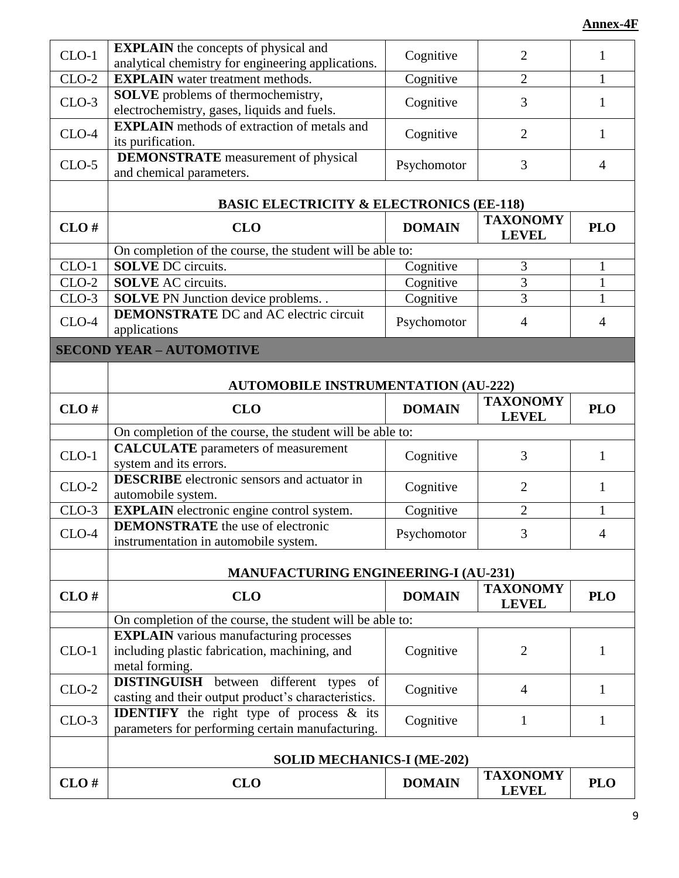| $CLO-1$                         | <b>EXPLAIN</b> the concepts of physical and<br>analytical chemistry for engineering applications.       | Cognitive     | $\overline{2}$                  | $\mathbf{1}$   |  |
|---------------------------------|---------------------------------------------------------------------------------------------------------|---------------|---------------------------------|----------------|--|
| $CLO-2$                         | <b>EXPLAIN</b> water treatment methods.                                                                 | Cognitive     | $\overline{2}$                  | $\mathbf{1}$   |  |
|                                 | <b>SOLVE</b> problems of thermochemistry,                                                               |               |                                 |                |  |
| $CLO-3$                         | electrochemistry, gases, liquids and fuels.                                                             | Cognitive     | 3                               | $\mathbf{1}$   |  |
|                                 | <b>EXPLAIN</b> methods of extraction of metals and                                                      |               |                                 |                |  |
| $CLO-4$                         | its purification.                                                                                       | Cognitive     | $\overline{2}$                  | 1              |  |
| $CLO-5$                         | <b>DEMONSTRATE</b> measurement of physical                                                              | Psychomotor   | 3                               | $\overline{4}$ |  |
|                                 | and chemical parameters.                                                                                |               |                                 |                |  |
|                                 | <b>BASIC ELECTRICITY &amp; ELECTRONICS (EE-118)</b>                                                     |               |                                 |                |  |
| CLO#                            | <b>CLO</b>                                                                                              | <b>DOMAIN</b> | <b>TAXONOMY</b><br><b>LEVEL</b> | <b>PLO</b>     |  |
|                                 | On completion of the course, the student will be able to:                                               |               |                                 |                |  |
| $CLO-1$                         | <b>SOLVE DC</b> circuits.                                                                               | Cognitive     | 3                               | $\mathbf{1}$   |  |
| $CLO-2$                         | <b>SOLVE AC circuits.</b>                                                                               | Cognitive     | $\overline{3}$                  | $\mathbf{1}$   |  |
| $CLO-3$                         | <b>SOLVE</b> PN Junction device problems. .                                                             | Cognitive     | 3                               | $\mathbf{1}$   |  |
| $CLO-4$                         | <b>DEMONSTRATE</b> DC and AC electric circuit                                                           | Psychomotor   | $\overline{4}$                  | $\overline{4}$ |  |
|                                 | applications                                                                                            |               |                                 |                |  |
| <b>SECOND YEAR - AUTOMOTIVE</b> |                                                                                                         |               |                                 |                |  |
|                                 |                                                                                                         |               |                                 |                |  |
|                                 | <b>AUTOMOBILE INSTRUMENTATION (AU-222)</b>                                                              |               |                                 |                |  |
| CLO#                            | <b>CLO</b>                                                                                              | <b>DOMAIN</b> | <b>TAXONOMY</b>                 | <b>PLO</b>     |  |
|                                 |                                                                                                         |               | <b>LEVEL</b>                    |                |  |
|                                 | On completion of the course, the student will be able to:                                               |               |                                 |                |  |
| $CLO-1$                         | <b>CALCULATE</b> parameters of measurement                                                              | Cognitive     | 3                               | 1              |  |
|                                 | system and its errors.                                                                                  |               |                                 |                |  |
| $CLO-2$                         | <b>DESCRIBE</b> electronic sensors and actuator in                                                      | Cognitive     | $\overline{2}$                  | 1              |  |
| $CLO-3$                         | automobile system.                                                                                      |               | $\overline{2}$                  | $\mathbf{1}$   |  |
|                                 | <b>EXPLAIN</b> electronic engine control system.<br><b>DEMONSTRATE</b> the use of electronic            | Cognitive     |                                 |                |  |
| $CLO-4$                         | instrumentation in automobile system.                                                                   | Psychomotor   | 3                               | $\overline{4}$ |  |
|                                 |                                                                                                         |               |                                 |                |  |
|                                 | <b>MANUFACTURING ENGINEERING-I (AU-231)</b>                                                             |               |                                 |                |  |
| CLO#                            | <b>CLO</b>                                                                                              | <b>DOMAIN</b> | <b>TAXONOMY</b>                 | <b>PLO</b>     |  |
|                                 |                                                                                                         |               | <b>LEVEL</b>                    |                |  |
|                                 | On completion of the course, the student will be able to:                                               |               |                                 |                |  |
|                                 | <b>EXPLAIN</b> various manufacturing processes                                                          |               |                                 |                |  |
| $CLO-1$                         | including plastic fabrication, machining, and                                                           | Cognitive     | $\overline{2}$                  | 1              |  |
|                                 | metal forming.                                                                                          |               |                                 |                |  |
| $CLO-2$                         | <b>DISTINGUISH</b> between different types<br>of<br>casting and their output product's characteristics. | Cognitive     | $\overline{4}$                  | 1              |  |
|                                 | <b>IDENTIFY</b> the right type of process & its                                                         |               |                                 |                |  |
| $CLO-3$                         | parameters for performing certain manufacturing.                                                        | Cognitive     | $\mathbf{1}$                    | $\mathbf{1}$   |  |
|                                 |                                                                                                         |               |                                 |                |  |
|                                 | <b>SOLID MECHANICS-I (ME-202)</b>                                                                       |               |                                 |                |  |
|                                 |                                                                                                         |               | <b>TAXONOMY</b>                 |                |  |
| CLO#                            | <b>CLO</b>                                                                                              | <b>DOMAIN</b> | <b>LEVEL</b>                    | <b>PLO</b>     |  |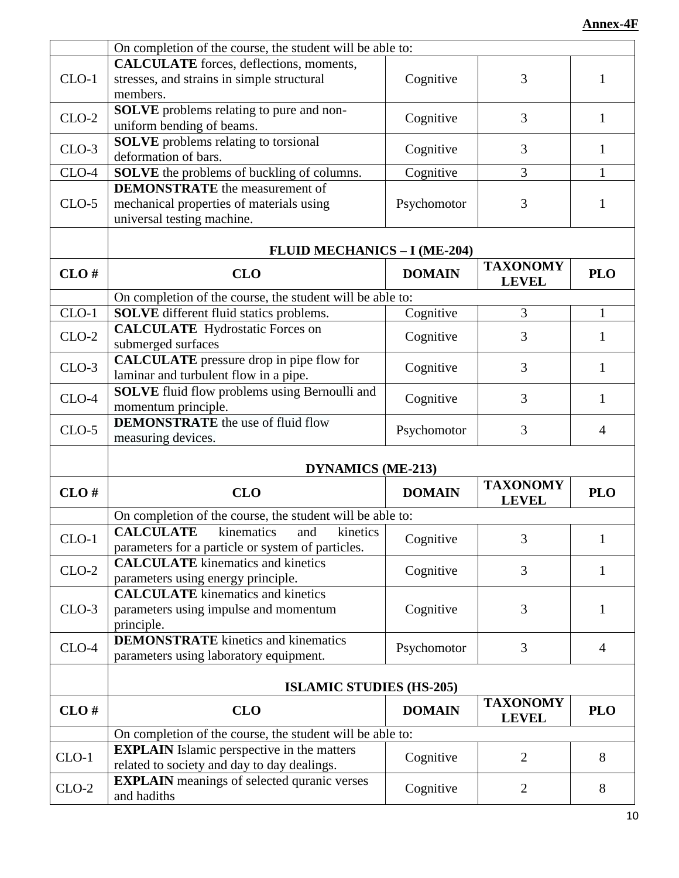|         | On completion of the course, the student will be able to: |               |                                 |                |
|---------|-----------------------------------------------------------|---------------|---------------------------------|----------------|
|         | <b>CALCULATE</b> forces, deflections, moments,            |               |                                 |                |
| $CLO-1$ | stresses, and strains in simple structural                | Cognitive     | 3                               | $\mathbf{1}$   |
|         | members.                                                  |               |                                 |                |
| $CLO-2$ | <b>SOLVE</b> problems relating to pure and non-           | Cognitive     | 3                               | 1              |
|         | uniform bending of beams.                                 |               |                                 |                |
|         | <b>SOLVE</b> problems relating to torsional               |               |                                 |                |
| $CLO-3$ | deformation of bars.                                      | Cognitive     | 3                               | 1              |
| $CLO-4$ | <b>SOLVE</b> the problems of buckling of columns.         | Cognitive     | 3                               | 1              |
|         | <b>DEMONSTRATE</b> the measurement of                     |               |                                 |                |
| $CLO-5$ | mechanical properties of materials using                  | Psychomotor   | 3                               | 1              |
|         | universal testing machine.                                |               |                                 |                |
|         |                                                           |               |                                 |                |
|         | <b>FLUID MECHANICS - I (ME-204)</b>                       |               |                                 |                |
| CLO#    | <b>CLO</b>                                                | <b>DOMAIN</b> | <b>TAXONOMY</b>                 | <b>PLO</b>     |
|         |                                                           |               | <b>LEVEL</b>                    |                |
|         | On completion of the course, the student will be able to: |               |                                 |                |
| CLO-1   | <b>SOLVE</b> different fluid statics problems.            | Cognitive     | 3                               | 1              |
| $CLO-2$ | <b>CALCULATE</b> Hydrostatic Forces on                    | Cognitive     | 3                               | 1              |
|         | submerged surfaces                                        |               |                                 |                |
| $CLO-3$ | <b>CALCULATE</b> pressure drop in pipe flow for           | Cognitive     | 3                               | 1              |
|         | laminar and turbulent flow in a pipe.                     |               |                                 |                |
| $CLO-4$ | <b>SOLVE</b> fluid flow problems using Bernoulli and      |               | 3                               |                |
|         | momentum principle.                                       | Cognitive     |                                 | $\mathbf{1}$   |
|         | <b>DEMONSTRATE</b> the use of fluid flow                  |               | 3                               |                |
| $CLO-5$ | measuring devices.                                        | Psychomotor   |                                 | $\overline{4}$ |
|         |                                                           |               |                                 |                |
|         | <b>DYNAMICS (ME-213)</b>                                  |               |                                 |                |
| CLO#    | <b>CLO</b>                                                | <b>DOMAIN</b> | <b>TAXONOMY</b>                 | <b>PLO</b>     |
|         |                                                           |               | <b>LEVEL</b>                    |                |
|         | On completion of the course, the student will be able to: |               |                                 |                |
| $CLO-1$ | <b>CALCULATE</b><br>kinetics<br>kinematics<br>and         | Cognitive     | 3                               |                |
|         | parameters for a particle or system of particles.         |               |                                 |                |
| $CLO-2$ | <b>CALCULATE</b> kinematics and kinetics                  | Cognitive     | 3                               | 1              |
|         | parameters using energy principle.                        |               |                                 |                |
|         | <b>CALCULATE</b> kinematics and kinetics                  |               |                                 |                |
| $CLO-3$ | parameters using impulse and momentum                     | Cognitive     | 3                               | 1              |
|         | principle.                                                |               |                                 |                |
| $CLO-4$ | <b>DEMONSTRATE</b> kinetics and kinematics                | Psychomotor   | 3                               | $\overline{4}$ |
|         | parameters using laboratory equipment.                    |               |                                 |                |
|         |                                                           |               |                                 |                |
|         | <b>ISLAMIC STUDIES (HS-205)</b>                           |               |                                 |                |
| CLO#    | <b>CLO</b>                                                | <b>DOMAIN</b> | <b>TAXONOMY</b><br><b>LEVEL</b> | <b>PLO</b>     |
|         | On completion of the course, the student will be able to: |               |                                 |                |
|         | <b>EXPLAIN</b> Islamic perspective in the matters         |               |                                 |                |
| $CLO-1$ | related to society and day to day dealings.               | Cognitive     | $\overline{2}$                  | 8              |
|         | <b>EXPLAIN</b> meanings of selected quranic verses        |               |                                 |                |
|         |                                                           |               | $\overline{2}$                  | 8              |
| $CLO-2$ | and hadiths                                               | Cognitive     |                                 |                |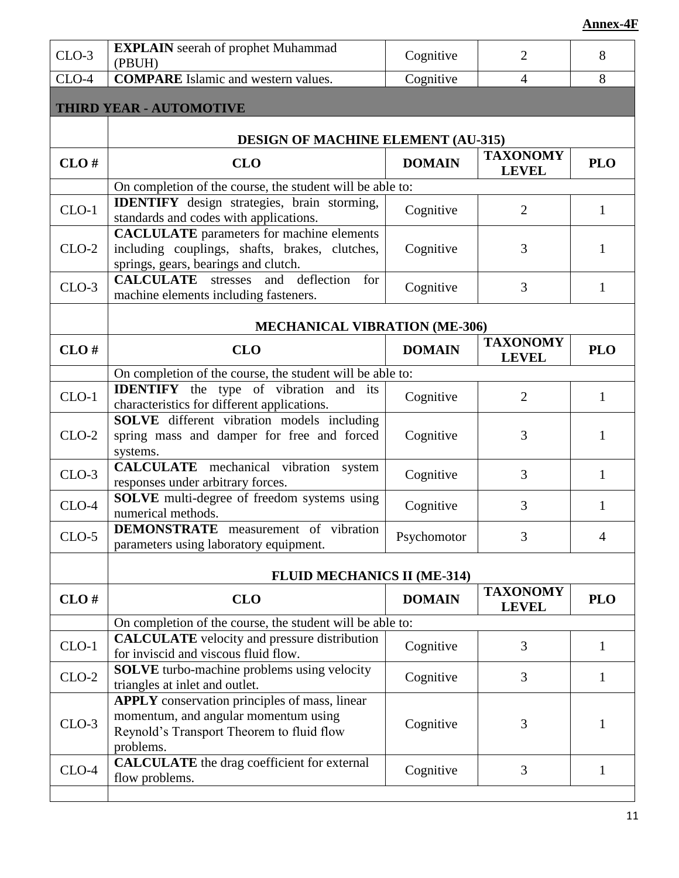| $CLO-3$ | <b>EXPLAIN</b> seerah of prophet Muhammad<br>(PBUH)                                                                                                    | Cognitive     | $\overline{2}$                  | 8              |
|---------|--------------------------------------------------------------------------------------------------------------------------------------------------------|---------------|---------------------------------|----------------|
| $CLO-4$ | <b>COMPARE</b> Islamic and western values.                                                                                                             | Cognitive     | $\overline{4}$                  | 8              |
|         | THIRD YEAR - AUTOMOTIVE                                                                                                                                |               |                                 |                |
|         | <b>DESIGN OF MACHINE ELEMENT (AU-315)</b>                                                                                                              |               |                                 |                |
| CLO#    | <b>CLO</b>                                                                                                                                             | <b>DOMAIN</b> | <b>TAXONOMY</b><br><b>LEVEL</b> | <b>PLO</b>     |
|         | On completion of the course, the student will be able to:                                                                                              |               |                                 |                |
| $CLO-1$ | <b>IDENTIFY</b> design strategies, brain storming,<br>standards and codes with applications.                                                           | Cognitive     | $\overline{2}$                  | 1              |
|         | <b>CACLULATE</b> parameters for machine elements                                                                                                       |               |                                 |                |
| $CLO-2$ | including couplings, shafts, brakes, clutches,<br>springs, gears, bearings and clutch.                                                                 | Cognitive     | 3                               | 1              |
| $CLO-3$ | <b>CALCULATE</b> stresses and deflection for<br>machine elements including fasteners.                                                                  | Cognitive     | 3                               | $\mathbf{1}$   |
|         | <b>MECHANICAL VIBRATION (ME-306)</b>                                                                                                                   |               |                                 |                |
| CLO#    | <b>CLO</b>                                                                                                                                             | <b>DOMAIN</b> | <b>TAXONOMY</b><br><b>LEVEL</b> | <b>PLO</b>     |
|         | On completion of the course, the student will be able to:                                                                                              |               |                                 |                |
| $CLO-1$ | <b>IDENTIFY</b> the type of vibration and its<br>characteristics for different applications.                                                           | Cognitive     | $\overline{2}$                  | 1              |
| $CLO-2$ | SOLVE different vibration models including<br>spring mass and damper for free and forced<br>systems.                                                   | Cognitive     | 3                               | 1              |
| $CLO-3$ | <b>CALCULATE</b> mechanical vibration system<br>responses under arbitrary forces.                                                                      | Cognitive     | 3                               | $\mathbf{1}$   |
| $CLO-4$ | <b>SOLVE</b> multi-degree of freedom systems using<br>numerical methods.                                                                               | Cognitive     | 3                               | 1              |
| $CLO-5$ | <b>DEMONSTRATE</b> measurement of vibration<br>parameters using laboratory equipment.                                                                  | Psychomotor   | 3                               | $\overline{4}$ |
|         | <b>FLUID MECHANICS II (ME-314)</b>                                                                                                                     |               |                                 |                |
| CLO#    | <b>CLO</b>                                                                                                                                             | <b>DOMAIN</b> | <b>TAXONOMY</b><br><b>LEVEL</b> | <b>PLO</b>     |
|         | On completion of the course, the student will be able to:                                                                                              |               |                                 |                |
| $CLO-1$ | <b>CALCULATE</b> velocity and pressure distribution<br>for inviscid and viscous fluid flow.                                                            | Cognitive     | 3                               | 1              |
| $CLO-2$ | <b>SOLVE</b> turbo-machine problems using velocity<br>triangles at inlet and outlet.                                                                   | Cognitive     | 3                               | $\mathbf{1}$   |
| $CLO-3$ | <b>APPLY</b> conservation principles of mass, linear<br>momentum, and angular momentum using<br>Reynold's Transport Theorem to fluid flow<br>problems. | Cognitive     | 3                               | 1              |
| $CLO-4$ | <b>CALCULATE</b> the drag coefficient for external<br>flow problems.                                                                                   | Cognitive     | 3                               | 1              |
|         |                                                                                                                                                        |               |                                 |                |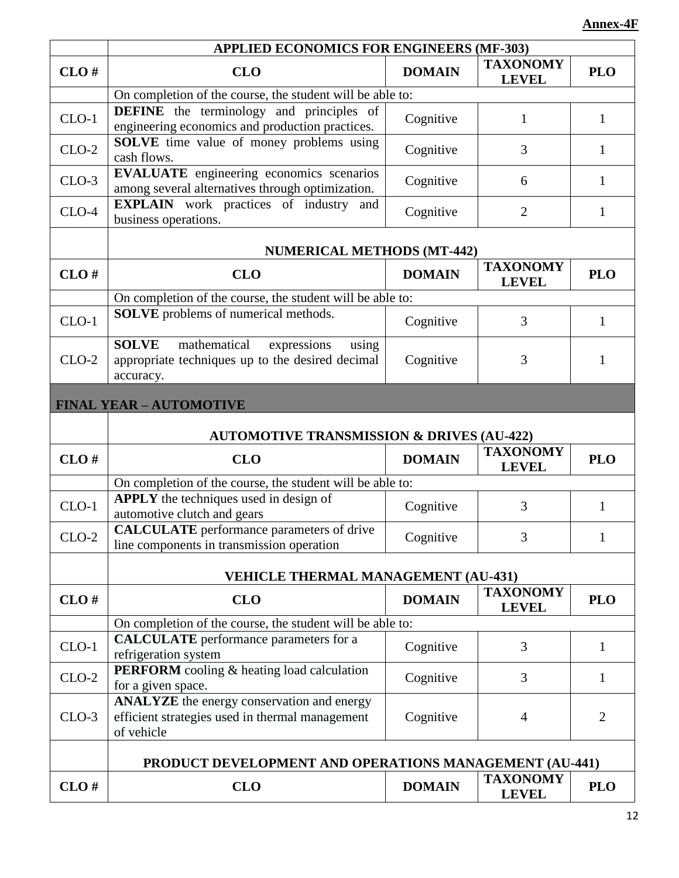|         | <b>APPLIED ECONOMICS FOR ENGINEERS (MF-303)</b>                                                                       |               |                                 |                |  |
|---------|-----------------------------------------------------------------------------------------------------------------------|---------------|---------------------------------|----------------|--|
| CLO#    | <b>CLO</b>                                                                                                            | <b>DOMAIN</b> | <b>TAXONOMY</b><br><b>LEVEL</b> | <b>PLO</b>     |  |
|         | On completion of the course, the student will be able to:                                                             |               |                                 |                |  |
| $CLO-1$ | <b>DEFINE</b> the terminology and principles of<br>engineering economics and production practices.                    | Cognitive     | 1                               | 1              |  |
| $CLO-2$ | <b>SOLVE</b> time value of money problems using<br>cash flows.                                                        | Cognitive     | 3                               | 1              |  |
| $CLO-3$ | <b>EVALUATE</b> engineering economics scenarios<br>among several alternatives through optimization.                   | Cognitive     | 6                               | 1              |  |
| $CLO-4$ | <b>EXPLAIN</b> work practices of industry and<br>business operations.                                                 | Cognitive     | $\overline{2}$                  | 1              |  |
|         | <b>NUMERICAL METHODS (MT-442)</b>                                                                                     |               |                                 |                |  |
| CLO#    | <b>CLO</b>                                                                                                            | <b>DOMAIN</b> | <b>TAXONOMY</b><br><b>LEVEL</b> | <b>PLO</b>     |  |
|         | On completion of the course, the student will be able to:                                                             |               |                                 |                |  |
| $CLO-1$ | <b>SOLVE</b> problems of numerical methods.                                                                           | Cognitive     | 3                               | $\mathbf{1}$   |  |
| $CLO-2$ | <b>SOLVE</b><br>mathematical<br>expressions<br>using<br>appropriate techniques up to the desired decimal<br>accuracy. | Cognitive     | 3                               | 1              |  |
|         | <b>FINAL YEAR - AUTOMOTIVE</b>                                                                                        |               |                                 |                |  |
|         | <b>AUTOMOTIVE TRANSMISSION &amp; DRIVES (AU-422)</b>                                                                  |               |                                 |                |  |
| CLO#    | <b>CLO</b>                                                                                                            | <b>DOMAIN</b> | <b>TAXONOMY</b><br><b>LEVEL</b> | <b>PLO</b>     |  |
|         | On completion of the course, the student will be able to:                                                             |               |                                 |                |  |
| $CLO-1$ | APPLY the techniques used in design of<br>automotive clutch and gears                                                 | Cognitive     | 3                               | 1              |  |
| $CLO-2$ | <b>CALCULATE</b> performance parameters of drive<br>line components in transmission operation                         | Cognitive     | 3                               | 1              |  |
|         | <b>VEHICLE THERMAL MANAGEMENT (AU-431)</b>                                                                            |               |                                 |                |  |
| CLO#    | <b>CLO</b>                                                                                                            | <b>DOMAIN</b> | <b>TAXONOMY</b><br><b>LEVEL</b> | <b>PLO</b>     |  |
|         | On completion of the course, the student will be able to:                                                             |               |                                 |                |  |
| $CLO-1$ | <b>CALCULATE</b> performance parameters for a<br>refrigeration system                                                 | Cognitive     | 3                               | 1              |  |
| $CLO-2$ | PERFORM cooling & heating load calculation<br>for a given space.                                                      | Cognitive     | 3                               | 1              |  |
| $CLO-3$ | <b>ANALYZE</b> the energy conservation and energy<br>efficient strategies used in thermal management<br>of vehicle    | Cognitive     | $\overline{4}$                  | $\overline{2}$ |  |
|         | PRODUCT DEVELOPMENT AND OPERATIONS MANAGEMENT (AU-441)                                                                |               |                                 |                |  |
| CLO#    | <b>CLO</b>                                                                                                            | <b>DOMAIN</b> | <b>TAXONOMY</b><br><b>LEVEL</b> | <b>PLO</b>     |  |